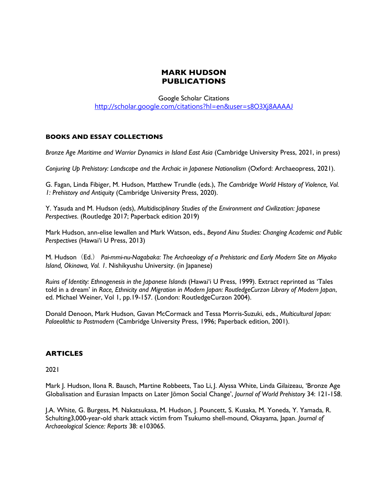# **MARK HUDSON PUBLICATIONS**

Google Scholar Citations http://scholar.google.com/citations?hl=en&user=s8O3Xj8AAAAJ

### **BOOKS AND ESSAY COLLECTIONS**

*Bronze Age Maritime and Warrior Dynamics in Island East Asia* (Cambridge University Press, 2021, in press)

*Conjuring Up Prehistory: Landscape and the Archaic in Japanese Nationalism* (Oxford: Archaeopress, 2021).

G. Fagan, Linda Fibiger, M. Hudson, Matthew Trundle (eds.), *The Cambridge World History of Violence, Vol. 1: Prehistory and Antiquity* (Cambridge University Press, 2020).

Y. Yasuda and M. Hudson (eds), *Multidisciplinary Studies of the Environment and Civilization: Japanese Perspectives*. (Routledge 2017; Paperback edition 2019)

Mark Hudson, ann-elise lewallen and Mark Watson, eds., *Beyond Ainu Studies: Changing Academic and Public Perspectives* (Hawai'i U Press, 2013)

M. Hudson(Ed.) *Pai-mmi-nu-Nagabaka: The Archaeology of a Prehistoric and Early Modern Site on Miyako Island, Okinawa, Vol. 1.* Nishikyushu University. (in Japanese)

*Ruins of Identity: Ethnogenesis in the Japanese Islands* (Hawai'i U Press, 1999). Extract reprinted as 'Tales told in a dream' in *Race, Ethnicity and Migration in Modern Japan: RoutledgeCurzon Library of Modern Japan*, ed. Michael Weiner, Vol 1, pp.19-157. (London: RoutledgeCurzon 2004).

Donald Denoon, Mark Hudson, Gavan McCormack and Tessa Morris-Suzuki, eds., *Multicultural Japan: Palaeolithic to Postmodern* (Cambridge University Press, 1996; Paperback edition, 2001).

### **ARTICLES**

2021

Mark J. Hudson, Ilona R. Bausch, Martine Robbeets, Tao Li, J. Alyssa White, Linda Gilaizeau, 'Bronze Age Globalisation and Eurasian Impacts on Later Jōmon Social Change', *Journal of World Prehistory* 34: 121-158.

J.A. White, G. Burgess, M. Nakatsukasa, M. Hudson, J. Pouncett, S. Kusaka, M. Yoneda, Y. Yamada, R. Schulting3,000-year-old shark attack victim from Tsukumo shell-mound, Okayama, Japan. *Journal of Archaeological Science: Reports* 38: e103065.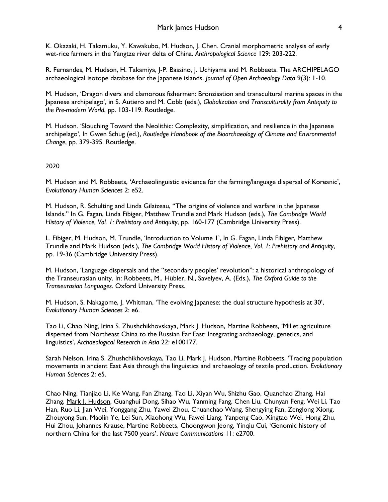K. Okazaki, H. Takamuku, Y. Kawakubo, M. Hudson, J. Chen. Cranial morphometric analysis of early wet-rice farmers in the Yangtze river delta of China. *Anthropological Science* 129: 203-222.

R. Fernandes, M. Hudson, H. Takamiya, J-P. Bassino, J. Uchiyama and M. Robbeets. The ARCHIPELAGO archaeological isotope database for the Japanese islands. *Journal of Open Archaeology Data* 9(3): 1-10.

M. Hudson, 'Dragon divers and clamorous fishermen: Bronzisation and transcultural marine spaces in the Japanese archipelago', in S. Autiero and M. Cobb (eds.), *Globalization and Transculturality from Antiquity to the Pre-modern World*, pp. 103-119. Routledge.

M. Hudson. 'Slouching Toward the Neolithic: Complexity, simplification, and resilience in the Japanese archipelago', In Gwen Schug (ed.), *Routledge Handbook of the Bioarchaeology of Climate and Environmental Change*, pp. 379-395. Routledge.

# 2020

M. Hudson and M. Robbeets, 'Archaeolinguistic evidence for the farming/language dispersal of Koreanic', *Evolutionary Human Sciences* 2: e52.

M. Hudson, R. Schulting and Linda Gilaizeau, "The origins of violence and warfare in the Japanese Islands." In G. Fagan, Linda Fibiger, Matthew Trundle and Mark Hudson (eds.), *The Cambridge World History of Violence, Vol. 1: Prehistory and Antiquity*, pp. 160-177 (Cambridge University Press).

L. Fibiger, M. Hudson, M. Trundle, 'Introduction to Volume 1', In G. Fagan, Linda Fibiger, Matthew Trundle and Mark Hudson (eds.), *The Cambridge World History of Violence, Vol. 1: Prehistory and Antiquity*, pp. 19-36 (Cambridge University Press).

M. Hudson, 'Language dispersals and the "secondary peoples' revolution": a historical anthropology of the Transeurasian unity. In: Robbeets, M., Hübler, N., Savelyev, A. (Eds.), *The Oxford Guide to the Transeurasian Languages*. Oxford University Press.

M. Hudson, S. Nakagome, J. Whitman, 'The evolving Japanese: the dual structure hypothesis at 30', *Evolutionary Human Sciences* 2: e6.

Tao Li, Chao Ning, Irina S. Zhushchikhovskaya, Mark J. Hudson, Martine Robbeets, 'Millet agriculture dispersed from Northeast China to the Russian Far East: Integrating archaeology, genetics, and linguistics', *Archaeological Research in Asia* 22: e100177.

Sarah Nelson, Irina S. Zhushchikhovskaya, Tao Li, Mark J. Hudson, Martine Robbeets, 'Tracing population movements in ancient East Asia through the linguistics and archaeology of textile production. *Evolutionary Human Sciences* 2: e5.

Chao Ning, Tianjiao Li, Ke Wang, Fan Zhang, Tao Li, Xiyan Wu, Shizhu Gao, Quanchao Zhang, Hai Zhang, Mark J. Hudson, Guanghui Dong, Sihao Wu, Yanming Fang, Chen Liu, Chunyan Feng, Wei Li, Tao Han, Ruo Li, Jian Wei, Yonggang Zhu, Yawei Zhou, Chuanchao Wang, Shengying Fan, Zenglong Xiong, Zhouyong Sun, Maolin Ye, Lei Sun, Xiaohong Wu, Fawei Liang, Yanpeng Cao, Xingtao Wei, Hong Zhu, Hui Zhou, Johannes Krause, Martine Robbeets, Choongwon Jeong, Yinqiu Cui, 'Genomic history of northern China for the last 7500 years'. *Nature Communications* 11: e2700.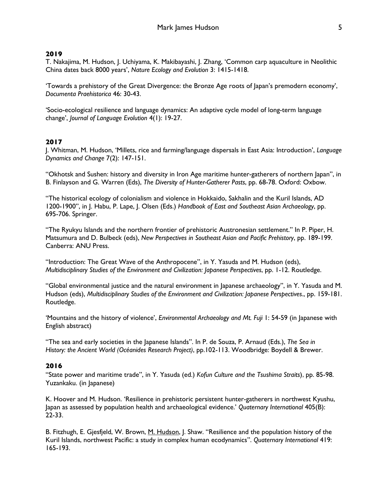## **2019**

T. Nakajima, M. Hudson, J. Uchiyama, K. Makibayashi, J. Zhang, 'Common carp aquaculture in Neolithic China dates back 8000 years', *Nature Ecology and Evolution* 3: 1415-1418.

'Towards a prehistory of the Great Divergence: the Bronze Age roots of Japan's premodern economy', *Documenta Praehistorica* 46: 30-43.

'Socio-ecological resilience and language dynamics: An adaptive cycle model of long-term language change', *Journal of Language Evolution* 4(1): 19-27.

### **2017**

J. Whitman, M. Hudson, 'Millets, rice and farming/language dispersals in East Asia: Introduction', *Language Dynamics and Change* 7(2): 147-151.

"Okhotsk and Sushen: history and diversity in Iron Age maritime hunter-gatherers of northern Japan", in B. Finlayson and G. Warren (Eds), *The Diversity of Hunter-Gatherer Pasts*, pp. 68-78. Oxford: Oxbow.

"The historical ecology of colonialism and violence in Hokkaido, Sakhalin and the Kuril Islands, AD 1200-1900", in J. Habu, P. Lape, J. Olsen (Eds.) *Handbook of East and Southeast Asian Archaeology*, pp. 695-706. Springer.

"The Ryukyu Islands and the northern frontier of prehistoric Austronesian settlement." In P. Piper, H. Matsumura and D. Bulbeck (eds), *New Perspectives in Southeast Asian and Pacific Prehistory*, pp. 189-199. Canberra: ANU Press.

"Introduction: The Great Wave of the Anthropocene", in Y. Yasuda and M. Hudson (eds), *Multidisciplinary Studies of the Environment and Civilization: Japanese Perspectives*, pp. 1-12. Routledge.

"Global environmental justice and the natural environment in Japanese archaeology", in Y. Yasuda and M. Hudson (eds), *Multidisciplinary Studies of the Environment and Civilization: Japanese Perspectives*., pp. 159-181. Routledge.

'Mountains and the history of violence', *Environmental Archaeology and Mt. Fuji* 1: 54-59 (in Japanese with English abstract)

"The sea and early societies in the Japanese Islands". In P. de Souza, P. Arnaud (Eds.), *The Sea in History: the Ancient World (Océanides Research Project)*, pp.102-113. Woodbridge: Boydell & Brewer.

### **2016**

"State power and maritime trade", in Y. Yasuda (ed.) *Kofun Culture and the Tsushima Straits*), pp. 85-98. Yuzankaku. (in Japanese)

K. Hoover and M. Hudson. 'Resilience in prehistoric persistent hunter-gatherers in northwest Kyushu, Japan as assessed by population health and archaeological evidence.' *Quaternary International* 405(B): 22-33.

B. Fitzhugh, E. Gjesfjeld, W. Brown, M. Hudson, J. Shaw. "Resilience and the population history of the Kuril Islands, northwest Pacific: a study in complex human ecodynamics". *Quaternary International* 419: 165-193.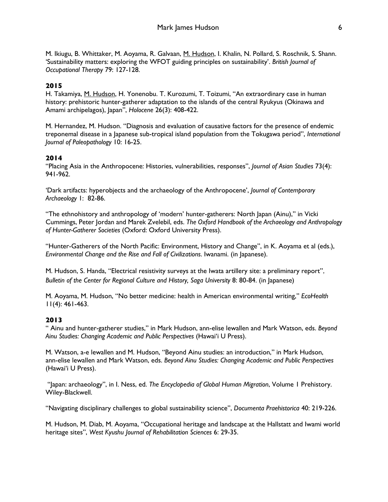M. Ikiugu, B. Whittaker, M. Aoyama, R. Galvaan, M. Hudson, I. Khalin, N. Pollard, S. Roschnik, S. Shann. 'Sustainability matters: exploring the WFOT guiding principles on sustainability'. *British Journal of Occupational Therapy* 79: 127-128.

## **2015**

H. Takamiya, M. Hudson, H. Yonenobu. T. Kurozumi, T. Toizumi, "An extraordinary case in human history: prehistoric hunter-gatherer adaptation to the islands of the central Ryukyus (Okinawa and Amami archipelagos), Japan", *Holocene* 26(3): 408-422.

M. Hernandez, M. Hudson. "Diagnosis and evaluation of causative factors for the presence of endemic treponemal disease in a Japanese sub-tropical island population from the Tokugawa period", *International Journal of Paleopathology* 10: 16-25.

### **2014**

"Placing Asia in the Anthropocene: Histories, vulnerabilities, responses", *Journal of Asian Studies* 73(4): 941-962.

'Dark artifacts: hyperobjects and the archaeology of the Anthropocene', *Journal of Contemporary Archaeology* 1: 82-86.

"The ethnohistory and anthropology of 'modern' hunter-gatherers: North Japan (Ainu)," in Vicki Cummings, Peter Jordan and Marek Zvelebil, eds. *The Oxford Handbook of the Archaeology and Anthropology of Hunter-Gatherer Societies* (Oxford: Oxford University Press).

"Hunter-Gatherers of the North Pacific: Environment, History and Change", in K. Aoyama et al (eds.), *Environmental Change and the Rise and Fall of Civilizations*. Iwanami. (in Japanese).

M. Hudson, S. Handa, "Electrical resistivity surveys at the Iwata artillery site: a preliminary report", *Bulletin of the Center for Regional Culture and History, Saga University* 8: 80-84. (in Japanese)

M. Aoyama, M. Hudson, "No better medicine: health in American environmental writing," *EcoHealth* 11(4): 461-463.

### **2013**

" Ainu and hunter-gatherer studies," in Mark Hudson, ann-elise lewallen and Mark Watson, eds. *Beyond Ainu Studies: Changing Academic and Public Perspectives* (Hawai'i U Press).

M. Watson, a-e lewallen and M. Hudson, "Beyond Ainu studies: an introduction," in Mark Hudson, ann-elise lewallen and Mark Watson, eds. *Beyond Ainu Studies: Changing Academic and Public Perspectives* (Hawai'i U Press).

"Japan: archaeology", in I. Ness, ed. *The Encyclopedia of Global Human Migration*, Volume 1 Prehistory. Wiley-Blackwell.

"Navigating disciplinary challenges to global sustainability science", *Documenta Praehistorica* 40: 219-226.

M. Hudson, M. Diab, M. Aoyama, "Occupational heritage and landscape at the Hallstatt and Iwami world heritage sites", *West Kyushu Journal of Rehabilitation Sciences* 6: 29-35.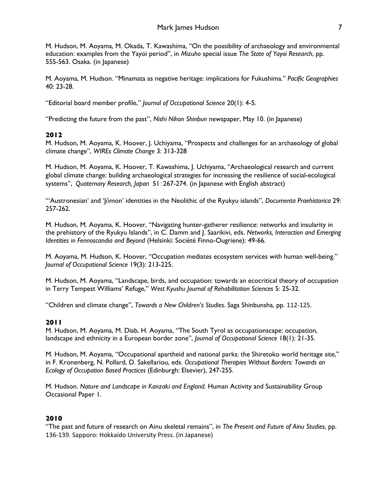M. Hudson, M. Aoyama, M. Okada, T. Kawashima, "On the possibility of archaeology and environmental education: examples from the Yayoi period", in *Mizuho* special issue *The State of Yayoi Research*, pp. 555-563. Osaka. (in Japanese)

M. Aoyama, M. Hudson. "Minamata as negative heritage: implications for Fukushima." *Pacific Geographies* 40: 23-28.

"Editorial board member profile," *Journal of Occupational Science* 20(1): 4-5.

"Predicting the future from the past", *Nishi Nihon Shinbun* newspaper, May 10. (in Japanese)

## **2012**

M. Hudson, M. Aoyama, K. Hoover, J. Uchiyama, "Prospects and challenges for an archaeology of global climate change", *WIREs Climate Change* 3: 313-328

M. Hudson, M. Aoyama, K. Hoover, T. Kawashima, J. Uchiyama, "Archaeological research and current global climate change: building archaeological strategies for increasing the resilience of social-ecological systems", *Quaternary Research, Japan* 51:267-274. (in Japanese with English abstract)

"'Austronesian' and 'Jōmon' identities in the Neolithic of the Ryukyu islands", *Documenta Praehistorica* 29: 257-262.

M. Hudson, M. Aoyama, K. Hoover, "Navigating hunter-gatherer resilience: networks and insularity in the prehistory of the Ryukyu Islands", in C. Damm and J. Saarikivi, eds. *Networks, Interaction and Emerging Identities in Fennoscandia and Beyond* (Helsinki: Société Finno-Ougriene): 49-66.

M. Aoyama, M. Hudson, K. Hoover, "Occupation mediates ecosystem services with human well-being." *Journal of Occupational Science* 19(3): 213-225.

M. Hudson, M. Aoyama, "Landscape, birds, and occupation: towards an ecocritical theory of occupation in Terry Tempest Williams' Refuge," *West Kyushu Journal of Rehabilitation Sciences* 5: 25-32.

"Children and climate change", *Towards a New Children's Studies*. Saga Shinbunsha, pp. 112-125.

### **2011**

M. Hudson, M. Aoyama, M. Diab, H. Aoyama, "The South Tyrol as occupationscape: occupation, landscape and ethnicity in a European border zone", *Journal of Occupational Science* 18(1): 21-35.

M. Hudson, M. Aoyama, "Occupational apartheid and national parks: the Shiretoko world heritage site," in F. Kronenberg, N. Pollard, D. Sakellariou, eds. *Occupational Therapies Without Borders: Towards an Ecology of Occupation Based Practices* (Edinburgh: Elsevier), 247-255.

M. Hudson. *Nature and Landscape in Kanzaki and England*. Human Activity and Sustainability Group Occasional Paper 1.

# **2010**

"The past and future of research on Ainu skeletal remains", in *The Present and Future of Ainu Studies*, pp. 136-139. Sapporo: Hokkaido University Press. (in Japanese)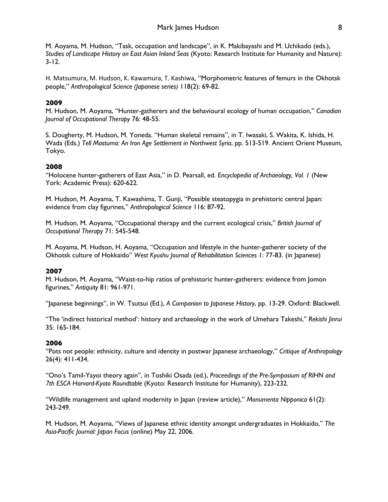M. Aoyama, M. Hudson, "Task, occupation and landscape", in K. Makibayashi and M. Uchikado (eds.), *Studies of Landscape History on East Asian Inland Seas* (Kyoto: Research Institute for Humanity and Nature): 3-12.

H. Matsumura, M. Hudson, K. Kawamura, T. Kashiwa, "Morphometric features of femurs in the Okhotsk people," *Anthropological Science (Japanese series)* 118(2): 69-82.

# **2009**

M. Hudson, M. Aoyama, "Hunter-gatherers and the behavioural ecology of human occupation," *Canadian Journal of Occupational Therapy* 76: 48-55.

S. Dougherty, M. Hudson, M. Yoneda. "Human skeletal remains", in T. Iwasaki, S. Wakita, K. Ishida, H. Wada (Eds.) *Tell Mastuma: An Iron Age Settlement in Northwest Syria*, pp. 513-519. Ancient Orient Museum, Tokyo.

# **2008**

"Holocene hunter-gatherers of East Asia," in D. Pearsall, ed. *Encyclopedia of Archaeology, Vol. 1* (New York: Academic Press): 620-622.

M. Hudson, M. Aoyama, T. Kawashima, T. Gunji, "Possible steatopygia in prehistoric central Japan: evidence from clay figurines," *Anthropological Science* 116: 87-92.

M. Hudson, M. Aoyama, "Occupational therapy and the current ecological crisis," *British Journal of Occupational Therapy* 71: 545-548.

M. Aoyama, M. Hudson, H. Aoyama, "Occupation and lifestyle in the hunter-gatherer society of the Okhotsk culture of Hokkaido" *West Kyushu Journal of Rehabilitation Sciences* 1: 77-83. (in Japanese)

# **2007**

M. Hudson, M. Aoyama, "Waist-to-hip ratios of prehistoric hunter-gatherers: evidence from Jomon figurines," *Antiquity* 81: 961-971.

"Japanese beginnings", in W. Tsutsui (Ed.), *A Companion to Japanese History*, pp. 13-29. Oxford: Blackwell.

"The 'indirect historical method': history and archaeology in the work of Umehara Takeshi," *Rekishi Jinrui* 35: 165-184.

# **2006**

"Pots not people: ethnicity, culture and identity in postwar Japanese archaeology," *Critique of Anthropology* 26(4): 411-434.

"Ono's Tamil-Yayoi theory again", in Toshiki Osada (ed.), *Proceedings of the Pre-Symposium of RIHN and 7th ESCA Harvard-Kyoto Roundtable* (Kyoto: Research Institute for Humanity), 223-232.

"Wildlife management and upland modernity in Japan (review article)," *Monumenta Nipponica* 61(2): 243-249.

M. Hudson, M. Aoyama, "Views of Japanese ethnic identity amongst undergraduates in Hokkaido," *The Asia-Pacific Journal: Japan Focus* (online) May 22, 2006.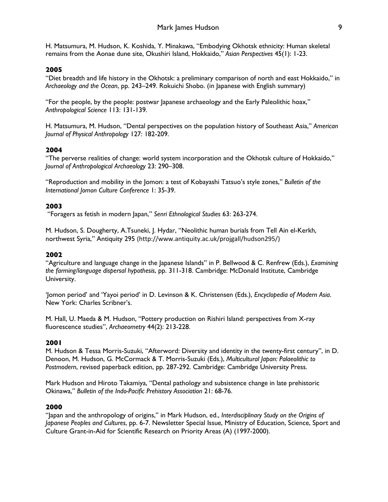H. Matsumura, M. Hudson, K. Koshida, Y. Minakawa, "Embodying Okhotsk ethnicity: Human skeletal remains from the Aonae dune site, Okushiri Island, Hokkaido," *Asian Perspectives* 45(1): 1-23.

## **2005**

"Diet breadth and life history in the Okhotsk: a preliminary comparison of north and east Hokkaido," in *Archaeology and the Ocean*, pp. 243–249. Rokuichi Shobo. (in Japanese with English summary)

"For the people, by the people: postwar Japanese archaeology and the Early Paleolithic hoax," *Anthropological Science* 113: 131-139.

H. Matsumura, M. Hudson, "Dental perspectives on the population history of Southeast Asia," *American Journal of Physical Anthropology* 127: 182-209.

## **2004**

"The perverse realities of change: world system incorporation and the Okhotsk culture of Hokkaido," *Journal of Anthropological Archaeology* 23: 290–308.

"Reproduction and mobility in the Jomon: a test of Kobayashi Tatsuo's style zones," *Bulletin of the International Jomon Culture Conference* 1: 35-39.

## **2003**

"Foragers as fetish in modern Japan," *Senri Ethnological Studies* 63: 263-274.

M. Hudson, S. Dougherty, A.Tsuneki, J. Hydar, "Neolithic human burials from Tell Ain el-Kerkh, northwest Syria," Antiquity 295 (http://www.antiquity.ac.uk/projgall/hudson295/)

## **2002**

"Agriculture and language change in the Japanese Islands" in P. Bellwood & C. Renfrew (Eds.), *Examining the farming/language dispersal hypothesis*, pp. 311-318. Cambridge: McDonald Institute, Cambridge University.

'Jomon period' and 'Yayoi period' in D. Levinson & K. Christensen (Eds.), *Encyclopedia of Modern Asia*. New York: Charles Scribner's.

M. Hall, U. Maeda & M. Hudson, "Pottery production on Rishiri Island: perspectives from X-ray fluorescence studies", *Archaeometry* 44(2): 213-228.

### **2001**

M. Hudson & Tessa Morris-Suzuki, "Afterword: Diversity and identity in the twenty-first century", in D. Denoon, M. Hudson, G. McCormack & T. Morris-Suzuki (Eds.), *Multicultural Japan: Palaeolithic to Postmodern*, revised paperback edition, pp. 287-292. Cambridge: Cambridge University Press.

Mark Hudson and Hiroto Takamiya, "Dental pathology and subsistence change in late prehistoric Okinawa," *Bulletin of the Indo-Pacific Prehistory Association* 21: 68-76.

### **2000**

"Japan and the anthropology of origins," in Mark Hudson, ed., *Interdisciplinary Study on the Origins of Japanese Peoples and Cultures*, pp. 6-7. Newsletter Special Issue, Ministry of Education, Science, Sport and Culture Grant-in-Aid for Scientific Research on Priority Areas (A) (1997-2000).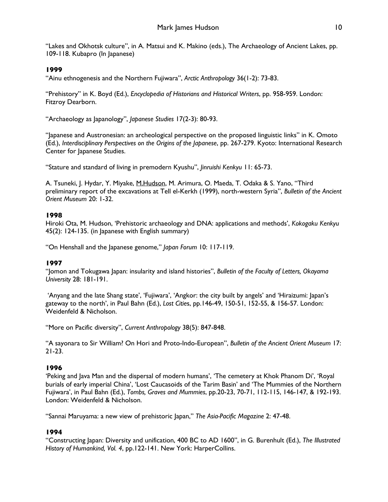"Lakes and Okhotsk culture", in A. Matsui and K. Makino (eds.), The Archaeology of Ancient Lakes, pp. 109-118. Kubapro (In Japanese)

# **1999**

"Ainu ethnogenesis and the Northern Fujiwara", *Arctic Anthropology* 36(1-2): 73-83.

"Prehistory" in K. Boyd (Ed.), *Encyclopedia of Historians and Historical Writers*, pp. 958-959. London: Fitzroy Dearborn.

"Archaeology as Japanology", *Japanese Studies* 17(2-3): 80-93.

"Japanese and Austronesian: an archeological perspective on the proposed linguistic links" in K. Omoto (Ed.), *Interdisciplinary Perspectives on the Origins of the Japanese*, pp. 267-279. Kyoto: International Research Center for Japanese Studies.

"Stature and standard of living in premodern Kyushu", *Jinruishi Kenkyu* 11: 65-73.

A. Tsuneki, J. Hydar, Y. Miyake, M.Hudson, M. Arimura, O. Maeda, T. Odaka & S. Yano, "Third preliminary report of the excavations at Tell el-Kerkh (1999), north-western Syria", *Bulletin of the Ancient Orient Museum* 20: 1-32.

# **1998**

Hiroki Ota, M. Hudson, 'Prehistoric archaeology and DNA: applications and methods', *Kokogaku Kenkyu* 45(2): 124-135. (in Japanese with English summary)

"On Henshall and the Japanese genome," *Japan Forum* 10: 117-119.

# **1997**

"Jomon and Tokugawa Japan: insularity and island histories", *Bulletin of the Faculty of Letters, Okayama University* 28: 181-191.

'Anyang and the late Shang state', 'Fujiwara', 'Angkor: the city built by angels' and 'Hiraizumi: Japan's gateway to the north', in Paul Bahn (Ed.), *Lost Citie*s, pp.146-49, 150-51, 152-55, & 156-57. London: Weidenfeld & Nicholson.

"More on Pacific diversity", *Current Anthropology* 38(5): 847-848.

"A sayonara to Sir William? On Hori and Proto-Indo-European", *Bulletin of the Ancient Orient Museum* 17: 21-23.

# **1996**

'Peking and Java Man and the dispersal of modern humans', 'The cemetery at Khok Phanom Di', 'Royal burials of early imperial China', 'Lost Caucasoids of the Tarim Basin' and 'The Mummies of the Northern Fujiwara', in Paul Bahn (Ed.), *Tombs, Graves and Mummies*, pp.20-23, 70-71, 112-115, 146-147, & 192-193. London: Weidenfeld & Nicholson.

"Sannai Maruyama: a new view of prehistoric Japan," *The Asia-Pacific Magazine* 2: 47-48.

# **1994**

"Constructing Japan: Diversity and unification, 400 BC to AD 1600", in G. Burenhult (Ed.), *The Illustrated History of Humankind, Vol. 4*, pp.122-141. New York: HarperCollins.